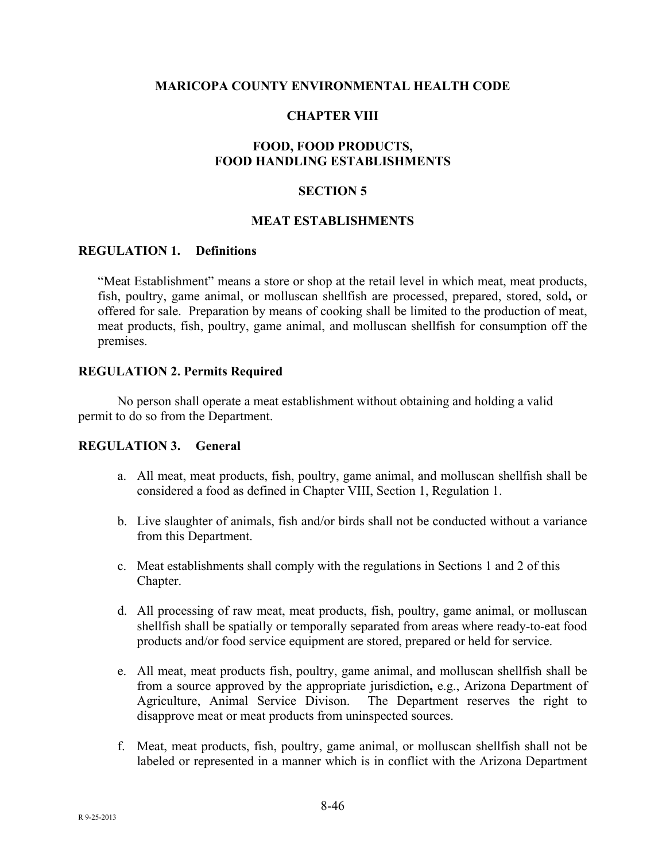### **MARICOPA COUNTY ENVIRONMENTAL HEALTH CODE**

## **CHAPTER VIII**

## **FOOD, FOOD PRODUCTS, FOOD HANDLING ESTABLISHMENTS**

### **SECTION 5**

#### **MEAT ESTABLISHMENTS**

### **REGULATION 1. Definitions**

"Meat Establishment" means a store or shop at the retail level in which meat, meat products, fish, poultry, game animal, or molluscan shellfish are processed, prepared, stored, sold**,** or offered for sale. Preparation by means of cooking shall be limited to the production of meat, meat products, fish, poultry, game animal, and molluscan shellfish for consumption off the premises.

### **REGULATION 2. Permits Required**

No person shall operate a meat establishment without obtaining and holding a valid permit to do so from the Department.

#### **REGULATION 3. General**

- a. All meat, meat products, fish, poultry, game animal, and molluscan shellfish shall be considered a food as defined in Chapter VIII, Section 1, Regulation 1.
- b. Live slaughter of animals, fish and/or birds shall not be conducted without a variance from this Department.
- c. Meat establishments shall comply with the regulations in Sections 1 and 2 of this Chapter.
- d. All processing of raw meat, meat products, fish, poultry, game animal, or molluscan shellfish shall be spatially or temporally separated from areas where ready-to-eat food products and/or food service equipment are stored, prepared or held for service.
- e. All meat, meat products fish, poultry, game animal, and molluscan shellfish shall be from a source approved by the appropriate jurisdiction**,** e.g., Arizona Department of Agriculture, Animal Service Divison. The Department reserves the right to disapprove meat or meat products from uninspected sources.
- f. Meat, meat products, fish, poultry, game animal, or molluscan shellfish shall not be labeled or represented in a manner which is in conflict with the Arizona Department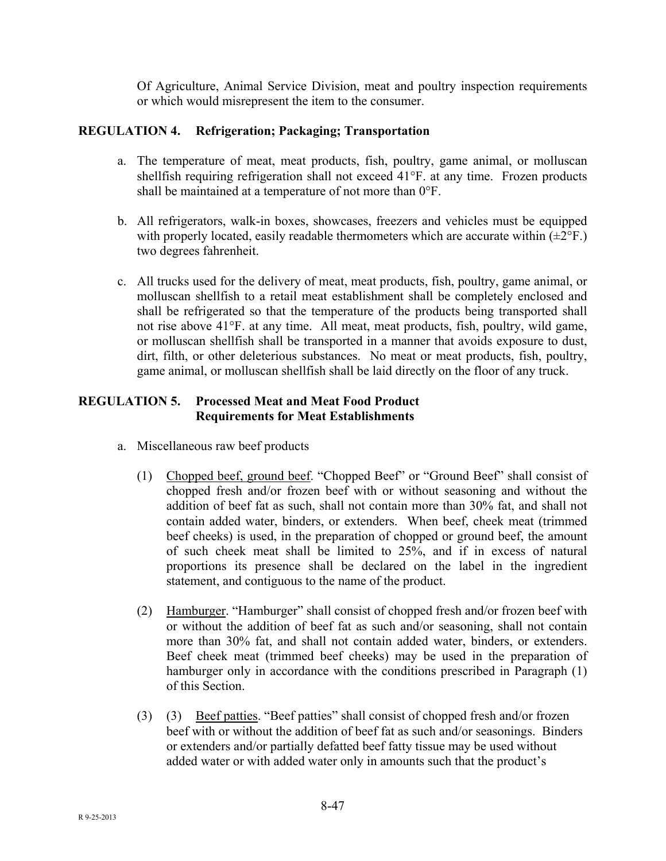Of Agriculture, Animal Service Division, meat and poultry inspection requirements or which would misrepresent the item to the consumer.

# **REGULATION 4. Refrigeration; Packaging; Transportation**

- a. The temperature of meat, meat products, fish, poultry, game animal, or molluscan shellfish requiring refrigeration shall not exceed 41°F. at any time. Frozen products shall be maintained at a temperature of not more than 0°F.
- b. All refrigerators, walk-in boxes, showcases, freezers and vehicles must be equipped with properly located, easily readable thermometers which are accurate within  $(\pm 2^{\circ}F)$ . two degrees fahrenheit.
- c. All trucks used for the delivery of meat, meat products, fish, poultry, game animal, or molluscan shellfish to a retail meat establishment shall be completely enclosed and shall be refrigerated so that the temperature of the products being transported shall not rise above 41°F. at any time. All meat, meat products, fish, poultry, wild game, or molluscan shellfish shall be transported in a manner that avoids exposure to dust, dirt, filth, or other deleterious substances. No meat or meat products, fish, poultry, game animal, or molluscan shellfish shall be laid directly on the floor of any truck.

# **REGULATION 5. Processed Meat and Meat Food Product Requirements for Meat Establishments**

- a. Miscellaneous raw beef products
	- (1) Chopped beef, ground beef. "Chopped Beef" or "Ground Beef" shall consist of chopped fresh and/or frozen beef with or without seasoning and without the addition of beef fat as such, shall not contain more than 30% fat, and shall not contain added water, binders, or extenders. When beef, cheek meat (trimmed beef cheeks) is used, in the preparation of chopped or ground beef, the amount of such cheek meat shall be limited to 25%, and if in excess of natural proportions its presence shall be declared on the label in the ingredient statement, and contiguous to the name of the product.
	- (2) Hamburger. "Hamburger" shall consist of chopped fresh and/or frozen beef with or without the addition of beef fat as such and/or seasoning, shall not contain more than 30% fat, and shall not contain added water, binders, or extenders. Beef cheek meat (trimmed beef cheeks) may be used in the preparation of hamburger only in accordance with the conditions prescribed in Paragraph (1) of this Section.
	- (3) (3) Beef patties. "Beef patties" shall consist of chopped fresh and/or frozen beef with or without the addition of beef fat as such and/or seasonings. Binders or extenders and/or partially defatted beef fatty tissue may be used without added water or with added water only in amounts such that the product's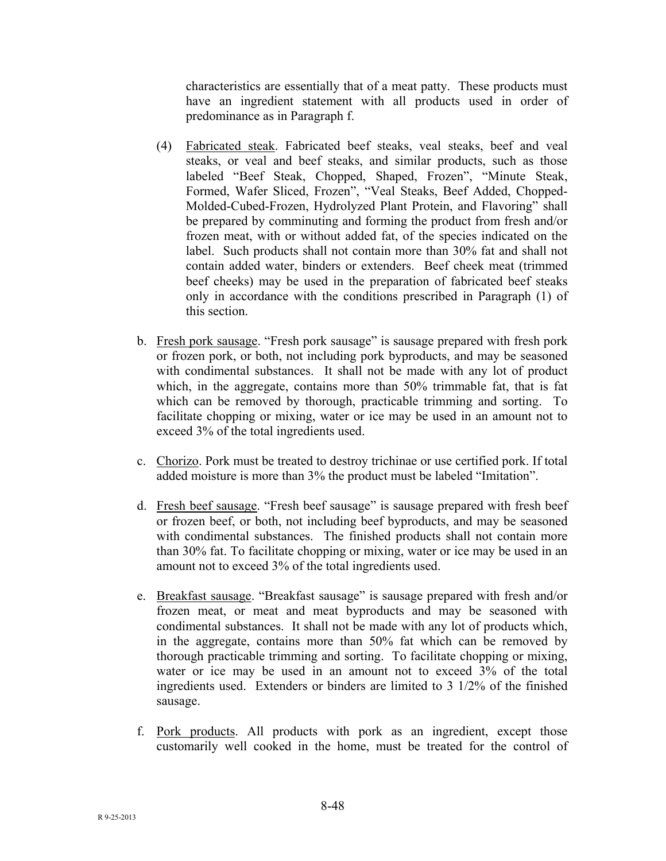characteristics are essentially that of a meat patty. These products must have an ingredient statement with all products used in order of predominance as in Paragraph f.

- (4) Fabricated steak. Fabricated beef steaks, veal steaks, beef and veal steaks, or veal and beef steaks, and similar products, such as those labeled "Beef Steak, Chopped, Shaped, Frozen", "Minute Steak, Formed, Wafer Sliced, Frozen", "Veal Steaks, Beef Added, Chopped-Molded-Cubed-Frozen, Hydrolyzed Plant Protein, and Flavoring" shall be prepared by comminuting and forming the product from fresh and/or frozen meat, with or without added fat, of the species indicated on the label. Such products shall not contain more than 30% fat and shall not contain added water, binders or extenders. Beef cheek meat (trimmed beef cheeks) may be used in the preparation of fabricated beef steaks only in accordance with the conditions prescribed in Paragraph (1) of this section.
- b. Fresh pork sausage. "Fresh pork sausage" is sausage prepared with fresh pork or frozen pork, or both, not including pork byproducts, and may be seasoned with condimental substances. It shall not be made with any lot of product which, in the aggregate, contains more than 50% trimmable fat, that is fat which can be removed by thorough, practicable trimming and sorting. To facilitate chopping or mixing, water or ice may be used in an amount not to exceed 3% of the total ingredients used.
- c. Chorizo. Pork must be treated to destroy trichinae or use certified pork. If total added moisture is more than 3% the product must be labeled "Imitation".
- d. Fresh beef sausage. "Fresh beef sausage" is sausage prepared with fresh beef or frozen beef, or both, not including beef byproducts, and may be seasoned with condimental substances. The finished products shall not contain more than 30% fat. To facilitate chopping or mixing, water or ice may be used in an amount not to exceed 3% of the total ingredients used.
- e. Breakfast sausage. "Breakfast sausage" is sausage prepared with fresh and/or frozen meat, or meat and meat byproducts and may be seasoned with condimental substances. It shall not be made with any lot of products which, in the aggregate, contains more than 50% fat which can be removed by thorough practicable trimming and sorting. To facilitate chopping or mixing, water or ice may be used in an amount not to exceed 3% of the total ingredients used. Extenders or binders are limited to 3 1/2% of the finished sausage.
- f. Pork products. All products with pork as an ingredient, except those customarily well cooked in the home, must be treated for the control of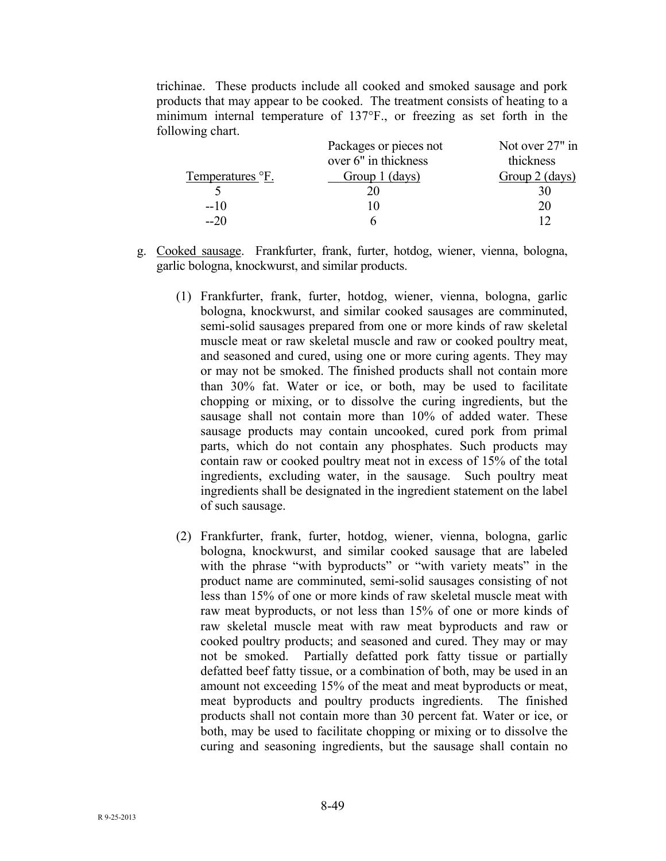trichinae. These products include all cooked and smoked sausage and pork products that may appear to be cooked. The treatment consists of heating to a minimum internal temperature of 137°F., or freezing as set forth in the following chart.

| Packages or pieces not | Not over 27" in |
|------------------------|-----------------|
| over 6" in thickness   | thickness       |
| Group 1 (days)         | Group 2 (days)  |
|                        |                 |
|                        | 20              |
|                        |                 |
|                        |                 |

- g. Cooked sausage. Frankfurter, frank, furter, hotdog, wiener, vienna, bologna, garlic bologna, knockwurst, and similar products.
	- (1) Frankfurter, frank, furter, hotdog, wiener, vienna, bologna, garlic bologna, knockwurst, and similar cooked sausages are comminuted, semi-solid sausages prepared from one or more kinds of raw skeletal muscle meat or raw skeletal muscle and raw or cooked poultry meat, and seasoned and cured, using one or more curing agents. They may or may not be smoked. The finished products shall not contain more than 30% fat. Water or ice, or both, may be used to facilitate chopping or mixing, or to dissolve the curing ingredients, but the sausage shall not contain more than 10% of added water. These sausage products may contain uncooked, cured pork from primal parts, which do not contain any phosphates. Such products may contain raw or cooked poultry meat not in excess of 15% of the total ingredients, excluding water, in the sausage. Such poultry meat ingredients shall be designated in the ingredient statement on the label of such sausage.
	- (2) Frankfurter, frank, furter, hotdog, wiener, vienna, bologna, garlic bologna, knockwurst, and similar cooked sausage that are labeled with the phrase "with byproducts" or "with variety meats" in the product name are comminuted, semi-solid sausages consisting of not less than 15% of one or more kinds of raw skeletal muscle meat with raw meat byproducts, or not less than 15% of one or more kinds of raw skeletal muscle meat with raw meat byproducts and raw or cooked poultry products; and seasoned and cured. They may or may not be smoked. Partially defatted pork fatty tissue or partially defatted beef fatty tissue, or a combination of both, may be used in an amount not exceeding 15% of the meat and meat byproducts or meat, meat byproducts and poultry products ingredients. The finished products shall not contain more than 30 percent fat. Water or ice, or both, may be used to facilitate chopping or mixing or to dissolve the curing and seasoning ingredients, but the sausage shall contain no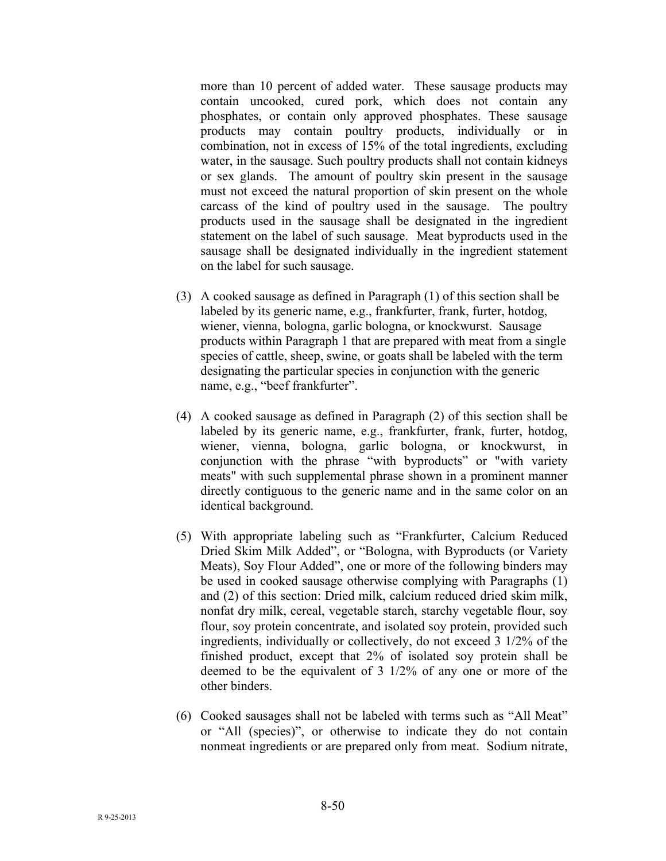more than 10 percent of added water. These sausage products may contain uncooked, cured pork, which does not contain any phosphates, or contain only approved phosphates. These sausage products may contain poultry products, individually or in combination, not in excess of 15% of the total ingredients, excluding water, in the sausage. Such poultry products shall not contain kidneys or sex glands. The amount of poultry skin present in the sausage must not exceed the natural proportion of skin present on the whole carcass of the kind of poultry used in the sausage. The poultry products used in the sausage shall be designated in the ingredient statement on the label of such sausage. Meat byproducts used in the sausage shall be designated individually in the ingredient statement on the label for such sausage.

- (3) A cooked sausage as defined in Paragraph (1) of this section shall be labeled by its generic name, e.g., frankfurter, frank, furter, hotdog, wiener, vienna, bologna, garlic bologna, or knockwurst. Sausage products within Paragraph 1 that are prepared with meat from a single species of cattle, sheep, swine, or goats shall be labeled with the term designating the particular species in conjunction with the generic name, e.g., "beef frankfurter".
- (4) A cooked sausage as defined in Paragraph (2) of this section shall be labeled by its generic name, e.g., frankfurter, frank, furter, hotdog, wiener, vienna, bologna, garlic bologna, or knockwurst, in conjunction with the phrase "with byproducts" or "with variety meats" with such supplemental phrase shown in a prominent manner directly contiguous to the generic name and in the same color on an identical background.
- (5) With appropriate labeling such as "Frankfurter, Calcium Reduced Dried Skim Milk Added", or "Bologna, with Byproducts (or Variety Meats), Soy Flour Added", one or more of the following binders may be used in cooked sausage otherwise complying with Paragraphs (1) and (2) of this section: Dried milk, calcium reduced dried skim milk, nonfat dry milk, cereal, vegetable starch, starchy vegetable flour, soy flour, soy protein concentrate, and isolated soy protein, provided such ingredients, individually or collectively, do not exceed 3 1/2% of the finished product, except that 2% of isolated soy protein shall be deemed to be the equivalent of 3 1/2% of any one or more of the other binders.
- (6) Cooked sausages shall not be labeled with terms such as "All Meat" or "All (species)", or otherwise to indicate they do not contain nonmeat ingredients or are prepared only from meat. Sodium nitrate,